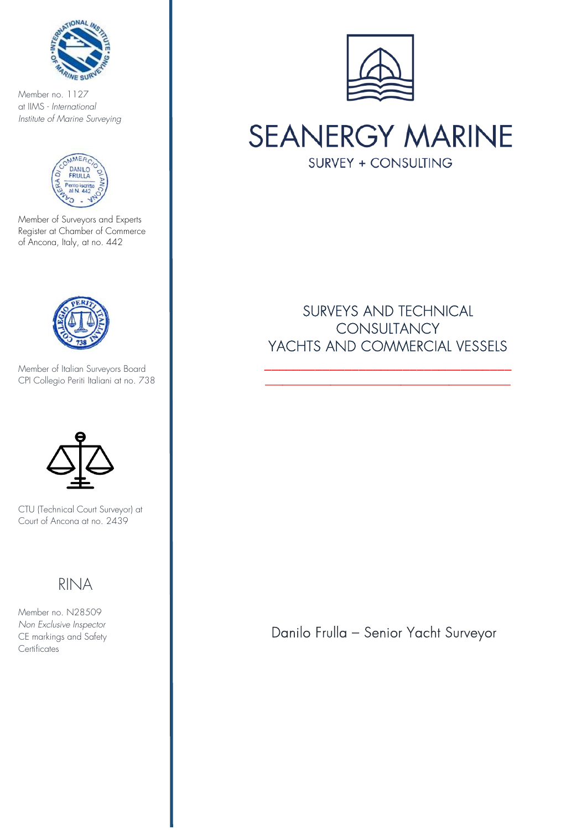

Member no. 1127 at IIMS - *International Institute of Marine Surveying*



Member of Surveyors and Experts Register at Chamber of Commerce of Ancona, Italy, at no. 442



Member of Italian Surveyors Board CPI Collegio Periti Italiani at no. 738



CTU (Technical Court Surveyor) at Court of Ancona at no. 2439

# RINA

KII NA<br>Member no. N28509 *Non Exclusive Inspector*  CE markings and Safety **Certificates** 



**SEANERGY MARINE SURVEY + CONSULTING** 

# SURVEYS AND TECHNICAL **CONSULTANCY** YACHTS AND COMMERCIAL VESSELS

\_\_\_\_\_\_\_\_\_\_\_\_\_\_\_\_\_\_\_\_\_\_\_\_\_\_\_\_\_\_\_\_\_\_ \_\_\_\_\_\_\_\_\_\_\_\_\_\_\_\_\_\_\_\_\_\_\_\_\_\_\_\_\_\_\_\_\_\_\_\_\_\_\_\_\_\_\_\_\_\_\_\_\_\_\_\_\_\_\_\_

Danilo Frulla – Senior Yacht Surveyor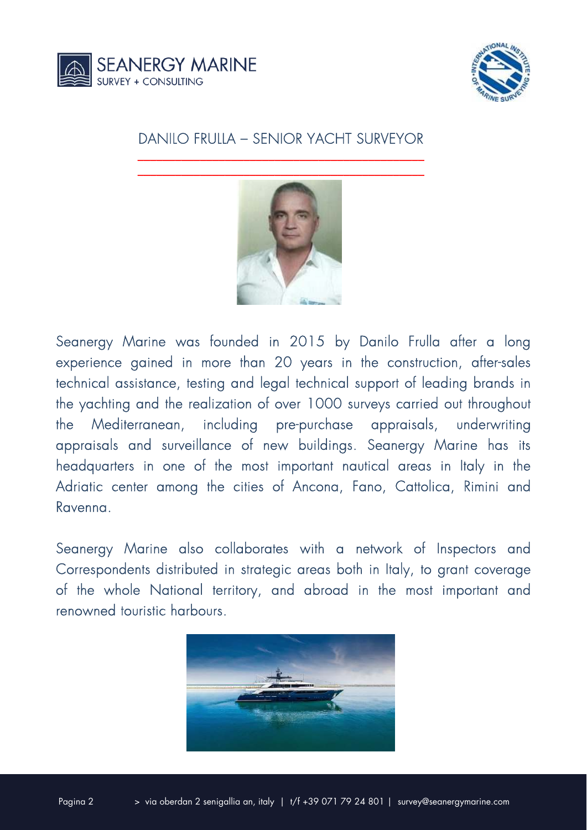



### DANILO FRULLA – SENIOR YACHT SURVEYOR \_\_\_\_\_\_\_\_\_\_\_\_\_\_\_\_\_\_\_\_\_\_\_\_\_\_\_\_\_\_\_\_\_\_\_\_\_\_\_\_\_\_\_\_\_\_



Seanergy Marine was founded in 2015 by Danilo Frulla after a long experience gained in more than 20 years in the construction, after-sales technical assistance, testing and legal technical support of leading brands in the yachting and the realization of over 1000 surveys carried out throughout the Mediterranean, including pre-purchase appraisals, underwriting appraisals and surveillance of new buildings. Seanergy Marine has its headquarters in one of the most important nautical areas in Italy in the Adriatic center among the cities of Ancona, Fano, Cattolica, Rimini and Ravenna.

Seanergy Marine also collaborates with a network of Inspectors and Correspondents distributed in strategic areas both in Italy, to grant coverage of the whole National territory, and abroad in the most important and renowned touristic harbours.

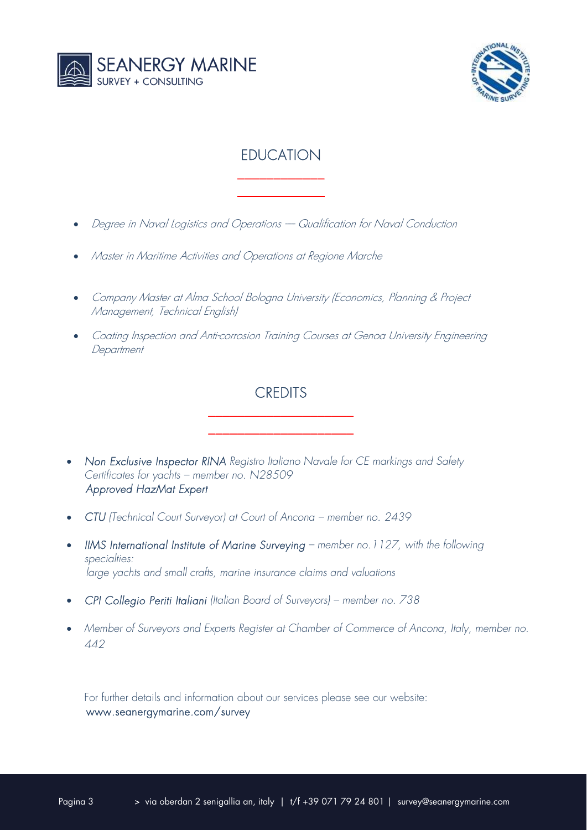



## **EDUCATION** \_\_\_\_\_\_\_\_\_\_\_\_

\_\_\_\_\_\_\_\_\_\_\_\_

- Degree in Naval Logistics and Operations Qualification for Naval Conduction
- Master in Maritime Activities and Operations at Regione Marche
- Company Master at Alma School Bologna University (Economics, Planning & Project Management, Technical English)
- Coating Inspection and Anti-corrosion Training Courses at Genoa University Engineering **Department**

## **CREDITS** \_\_\_\_\_\_\_\_\_\_\_\_\_\_\_\_\_\_\_\_

\_\_\_\_\_\_\_\_\_\_\_\_\_\_\_\_\_\_\_\_

- **Non Exclusive Inspector RINA** Registro Italiano Navale for CE markings and Safety *Certificates for yachts – member no. N28509 Approved HazMat Expert*
- *CTU (Technical Court Surveyor) at Court of Ancona member no. 2439*
- *IIMS International Institute of Marine Surveying member no.1127, with the following specialties: large yachts and small crafts, marine insurance claims and valuations*
- *CPI Collegio Periti Italiani (Italian Board of Surveyors) member no. 738*
- *Member of Surveyors and Experts Register at Chamber of Commerce of Ancona, Italy, member no. 442*

For further details and information about our services please see our website: www.seanergymarine.com/survey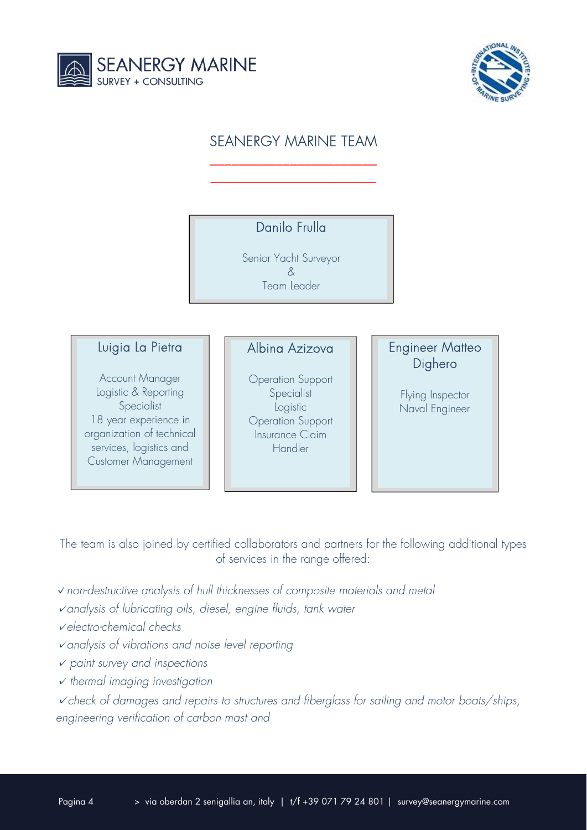



# SEANERGY MARINE TEAM

\_\_\_\_\_\_\_\_\_\_\_\_\_\_\_\_\_\_\_\_\_\_\_  $\overline{\phantom{a}}$  , where  $\overline{\phantom{a}}$  , where  $\overline{\phantom{a}}$  , where  $\overline{\phantom{a}}$ 

### Danilo Frulla

Senior Yacht Surveyor & Team Leader

#### Luigia La Pietra

Account Manager Logistic & Reporting Specialist 18 year experience in organization of technical services, logistics and Customer Management

### Albina Azizova

Operation Support **Specialist** Logistic Operation Support Insurance Claim Handler

### Engineer Matteo Dighero

Flying Inspector Naval Engineer

The team is also joined by certified collaborators and partners for the following additional types of services in the range offered:

- **✓***non-destructive analysis of hull thicknesses of composite materials and metal*
- **✓***analysis of lubricating oils, diesel, engine fluids, tank water*
- **✓***electro-chemical checks*
- **✓***analysis of vibrations and noise level reporting*
- **✓** *paint survey and inspections*
- **✓** *thermal imaging investigation*

**✓***check of damages and repairs to structures and fiberglass for sailing and motor boats/ships, engineering verification of carbon mast and*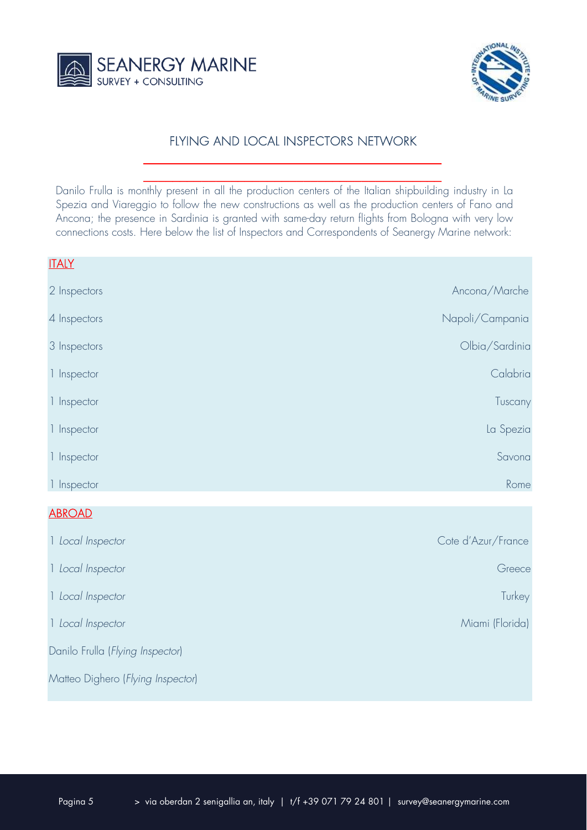



### **FLYING AND LOCAL INSPECTORS NETWORK**

Danilo Frulla is monthly present in all the production centers of the Italian shipbuilding industry in La Spezia and Viareggio to follow the new constructions as well as the production centers of Fano and Ancona; the presence in Sardinia is granted with same-day return flights from Bologna with very low connections costs. Here below the list of Inspectors and Correspondents of Seanergy Marine network:

 $\frac{1}{2}$  ,  $\frac{1}{2}$  ,  $\frac{1}{2}$  ,  $\frac{1}{2}$  ,  $\frac{1}{2}$  ,  $\frac{1}{2}$  ,  $\frac{1}{2}$  ,  $\frac{1}{2}$  ,  $\frac{1}{2}$  ,  $\frac{1}{2}$  ,  $\frac{1}{2}$  ,  $\frac{1}{2}$  ,  $\frac{1}{2}$  ,  $\frac{1}{2}$  ,  $\frac{1}{2}$  ,  $\frac{1}{2}$  ,  $\frac{1}{2}$  ,  $\frac{1}{2}$  ,  $\frac{1$  $\frac{1}{2}$  ,  $\frac{1}{2}$  ,  $\frac{1}{2}$  ,  $\frac{1}{2}$  ,  $\frac{1}{2}$  ,  $\frac{1}{2}$  ,  $\frac{1}{2}$  ,  $\frac{1}{2}$  ,  $\frac{1}{2}$  ,  $\frac{1}{2}$  ,  $\frac{1}{2}$  ,  $\frac{1}{2}$  ,  $\frac{1}{2}$  ,  $\frac{1}{2}$  ,  $\frac{1}{2}$  ,  $\frac{1}{2}$  ,  $\frac{1}{2}$  ,  $\frac{1}{2}$  ,  $\frac{1$ 

| <b>ITALY</b> |                 |
|--------------|-----------------|
| 2 Inspectors | Ancona/Marche   |
| 4 Inspectors | Napoli/Campania |
| 3 Inspectors | Olbia/Sardinia  |
| 1 Inspector  | Calabria        |
| 1 Inspector  | Tuscany         |
| 1 Inspector  | La Spezia       |
| 1 Inspector  | Savona          |
| 1 Inspector  | Rome            |
| $\sqrt{2}$   |                 |

#### ABROAD

| 1 Local Inspector                 | Cote d'Azur/France |
|-----------------------------------|--------------------|
| 1 Local Inspector                 | Greece             |
| 1 Local Inspector                 | Turkey             |
| 1 Local Inspector                 | Miami (Florida)    |
| Danilo Frulla (Flying Inspector)  |                    |
| Matteo Dighero (Flying Inspector) |                    |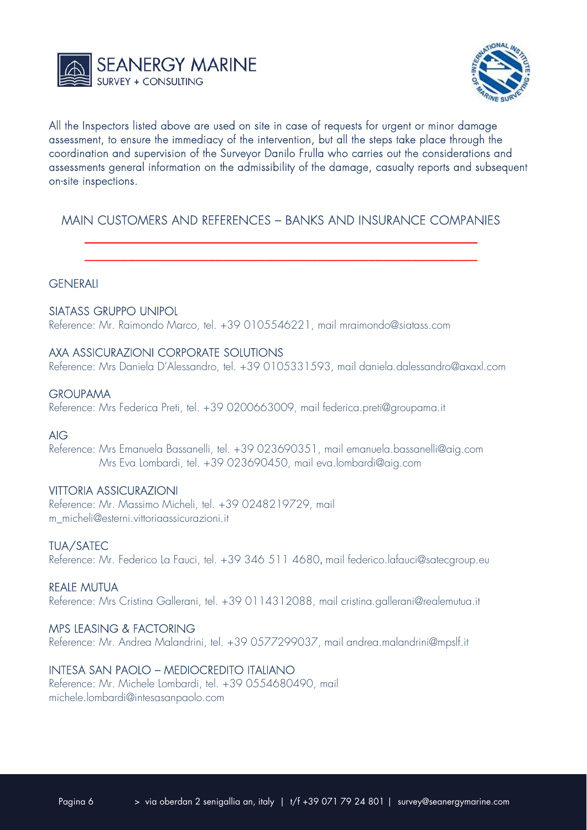



All the Inspectors listed above are used on site in case of requests for urgent or minor damage assessment, to ensure the immediacy of the intervention, but all the steps take place through the coordination and supervision of the Surveyor Danilo Frulla who carries out the considerations and assessments general information on the admissibility of the damage, casualty reports and subsequent on-site inspections.

### MAIN CUSTOMERS AND REFERENCES – BANKS AND INSURANCE COMPANIES \_\_\_\_\_\_\_\_\_\_\_\_\_\_\_\_\_\_\_\_\_\_\_\_\_\_\_\_\_\_\_\_\_\_\_\_\_\_\_\_\_\_\_\_\_\_\_\_\_\_\_\_\_\_

\_\_\_\_\_\_\_\_\_\_\_\_\_\_\_\_\_\_\_\_\_\_\_\_\_\_\_\_\_\_\_\_\_\_\_\_\_\_\_\_\_\_\_\_\_\_\_\_\_\_\_\_\_\_

#### **GENERALI**

#### SIATASS GRUPPO UNIPOL

Reference: Mr. Raimondo Marco, tel. +39 0105546221, mail mraimondo@siatass.com

#### AXA ASSICURAZIONI CORPORATE SOLUTIONS

Reference: Mrs Daniela D'Alessandro, tel. +39 0105331593, mail daniela.dalessandro@axaxl.com

#### **GROUPAMA**

Reference: Mrs Federica Preti, tel. +39 0200663009, mail federica.preti@groupama.it

#### AIG

Reference: Mrs Emanuela Bassanelli, tel. +39 023690351, mail emanuela.bassanelli@aig.com Mrs Eva Lombardi, tel. +39 023690450, mail eva.lombardi@aig.com

#### VITTORIA ASSICURAZIONI

Reference: Mr. Massimo Micheli, tel. +39 0248219729, mail m\_micheli@esterni.vittoriaassicurazioni.it

#### TUA/SATEC

Reference: Mr. Federico La Fauci, tel. +39 346 511 4680, mail federico.lafauci@satecgroup.eu

#### REALE MUTUA

Reference: Mrs Cristina Gallerani, tel. +39 0114312088, mail cristina.gallerani@realemutua.it

#### MPS LEASING & FACTORING

Reference: Mr. Andrea Malandrini, tel. +39 0577299037, mail andrea.malandrini@mpslf.it

#### INTESA SAN PAOLO – MEDIOCREDITO ITALIANO

Reference: Mr. Michele Lombardi, tel. +39 0554680490, mail michele.lombardi@intesasanpaolo.com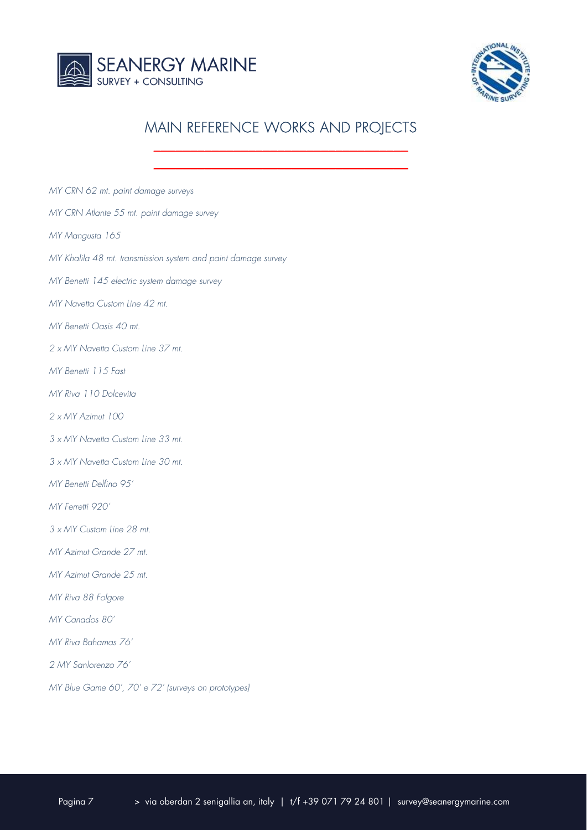



# MAIN REFERENCE WORKS AND PROJECTS \_\_\_\_\_\_\_\_\_\_\_\_\_\_\_\_\_\_\_\_\_\_\_\_\_\_\_\_\_\_\_\_\_\_\_

| MY CRN 62 mt. paint damage surveys                            |
|---------------------------------------------------------------|
| MY CRN Atlante 55 mt. paint damage survey                     |
| MY Mangusta 165                                               |
| MY Khalila 48 mt. transmission system and paint damage survey |
| MY Benetti 145 electric system damage survey                  |
| MY Navetta Custom Line 42 mt.                                 |
| MY Benetti Oasis 40 mt.                                       |
| 2 x MY Navetta Custom Line 37 mt.                             |
| MY Benetti 115 Fast                                           |
| MY Riva 110 Dolcevita                                         |
| 2 x MY Azimut 100                                             |
| 3 x MY Navetta Custom Line 33 mt.                             |
| 3 x MY Navetta Custom Line 30 mt.                             |
| MY Benetti Delfino 95'                                        |
| MY Ferretti 920'                                              |
| 3 x MY Custom Line 28 mt.                                     |
| MY Azimut Grande 27 mt.                                       |
| MY Azimut Grande 25 mt.                                       |
| MY Riva 88 Folgore                                            |
| MY Canados 80'                                                |
| MY Riva Bahamas 76'                                           |
| 2 MY Sanlorenzo 76'                                           |
| MY Blue Game 60', 70' e 72' (surveys on prototypes)           |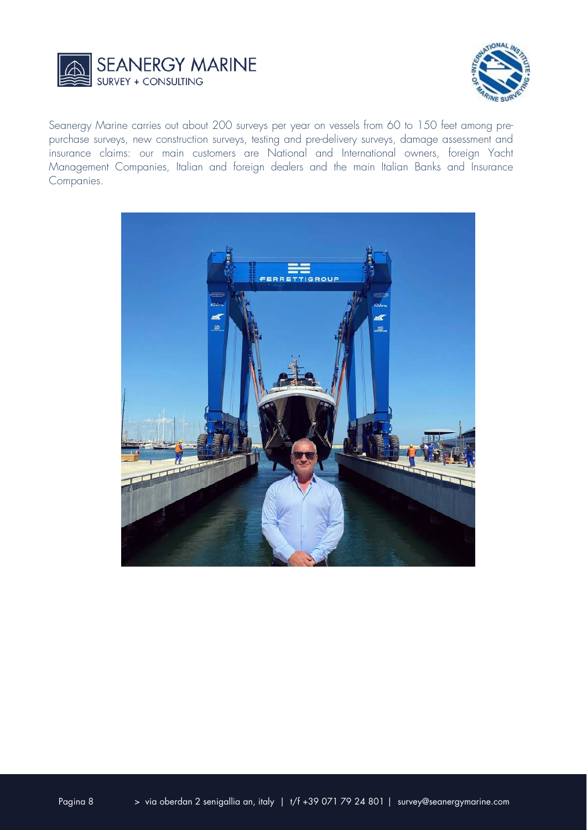



Seanergy Marine carries out about 200 surveys per year on vessels from 60 to 150 feet among prepurchase surveys, new construction surveys, testing and pre-delivery surveys, damage assessment and insurance claims: our main customers are National and International owners, foreign Yacht Management Companies, Italian and foreign dealers and the main Italian Banks and Insurance Companies.

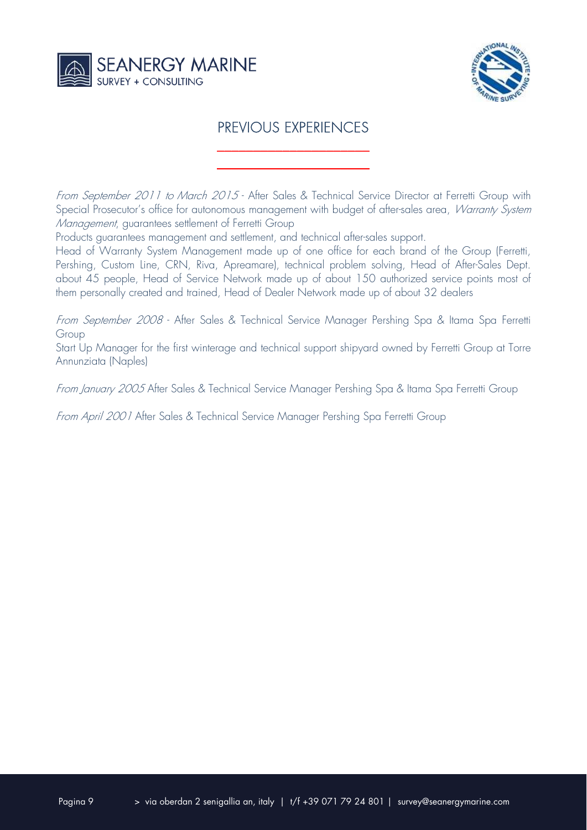



## PREVIOUS EXPERIENCES

\_\_\_\_\_\_\_\_\_\_\_\_\_\_\_\_\_\_\_\_\_ \_\_\_\_\_\_\_\_\_\_\_\_\_\_\_\_\_\_\_\_\_

From September 2011 to March 2015 - After Sales & Technical Service Director at Ferretti Group with Special Prosecutor's office for autonomous management with budget of after-sales area, *Warranty System* Management, guarantees settlement of Ferretti Group

Products guarantees management and settlement, and technical after-sales support.

Head of Warranty System Management made up of one office for each brand of the Group (Ferretti, Pershing, Custom Line, CRN, Riva, Apreamare), technical problem solving, Head of After-Sales Dept. about 45 people, Head of Service Network made up of about 150 authorized service points most of them personally created and trained, Head of Dealer Network made up of about 32 dealers

From September 2008 - After Sales & Technical Service Manager Pershing Spa & Itama Spa Ferretti Group

Start Up Manager for the first winterage and technical support shipyard owned by Ferretti Group at Torre Annunziata (Naples)

From January 2005 After Sales & Technical Service Manager Pershing Spa & Itama Spa Ferretti Group

From April 2001 After Sales & Technical Service Manager Pershing Spa Ferretti Group